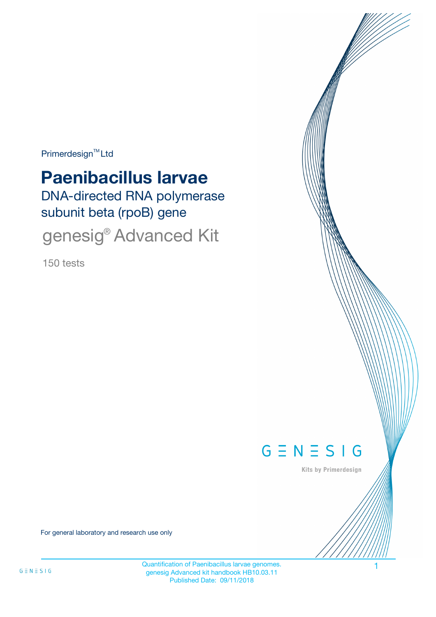Primerdesign<sup>™</sup>Ltd

# **Paenibacillus larvae**

DNA-directed RNA polymerase subunit beta (rpoB) gene

genesig<sup>®</sup> Advanced Kit

150 tests



Kits by Primerdesign

For general laboratory and research use only

Quantification of Paenibacillus larvae genomes. 1 genesig Advanced kit handbook HB10.03.11 Published Date: 09/11/2018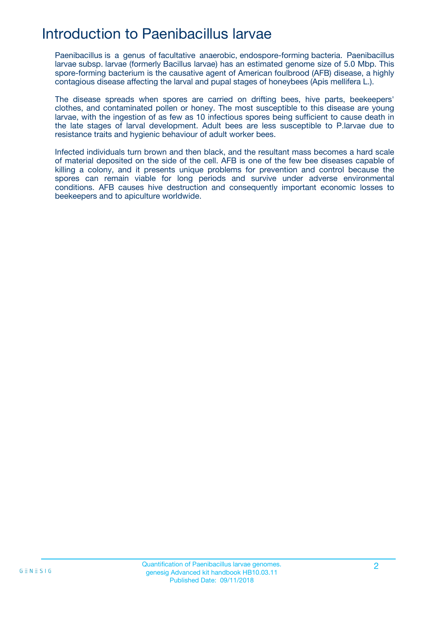## Introduction to Paenibacillus larvae

Paenibacillus is a genus of facultative anaerobic, endospore-forming bacteria. Paenibacillus larvae subsp. larvae (formerly Bacillus larvae) has an estimated genome size of 5.0 Mbp. This spore-forming bacterium is the causative agent of American foulbrood (AFB) disease, a highly contagious disease affecting the larval and pupal stages of honeybees (Apis mellifera L.).

The disease spreads when spores are carried on drifting bees, hive parts, beekeepers' clothes, and contaminated pollen or honey. The most susceptible to this disease are young larvae, with the ingestion of as few as 10 infectious spores being sufficient to cause death in the late stages of larval development. Adult bees are less susceptible to P.larvae due to resistance traits and hygienic behaviour of adult worker bees.

Infected individuals turn brown and then black, and the resultant mass becomes a hard scale of material deposited on the side of the cell. AFB is one of the few bee diseases capable of killing a colony, and it presents unique problems for prevention and control because the spores can remain viable for long periods and survive under adverse environmental conditions. AFB causes hive destruction and consequently important economic losses to beekeepers and to apiculture worldwide.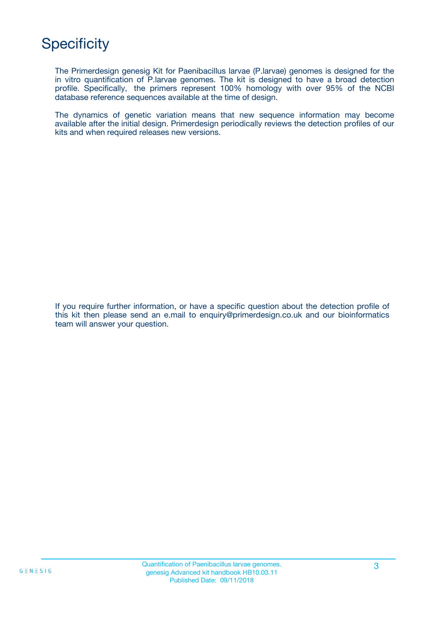# **Specificity**

The Primerdesign genesig Kit for Paenibacillus larvae (P.larvae) genomes is designed for the in vitro quantification of P.larvae genomes. The kit is designed to have a broad detection profile. Specifically, the primers represent 100% homology with over 95% of the NCBI database reference sequences available at the time of design.

The dynamics of genetic variation means that new sequence information may become available after the initial design. Primerdesign periodically reviews the detection profiles of our kits and when required releases new versions.

If you require further information, or have a specific question about the detection profile of this kit then please send an e.mail to enquiry@primerdesign.co.uk and our bioinformatics team will answer your question.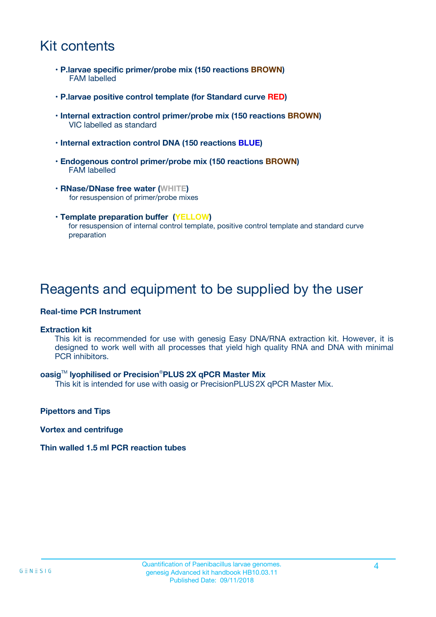# Kit contents

- **P.larvae specific primer/probe mix (150 reactions BROWN)** FAM labelled
- **P.larvae positive control template (for Standard curve RED)**
- **Internal extraction control primer/probe mix (150 reactions BROWN)** VIC labelled as standard
- **Internal extraction control DNA (150 reactions BLUE)**
- **Endogenous control primer/probe mix (150 reactions BROWN)** FAM labelled
- **RNase/DNase free water (WHITE)** for resuspension of primer/probe mixes
- **Template preparation buffer (YELLOW)** for resuspension of internal control template, positive control template and standard curve preparation

### Reagents and equipment to be supplied by the user

#### **Real-time PCR Instrument**

#### **Extraction kit**

This kit is recommended for use with genesig Easy DNA/RNA extraction kit. However, it is designed to work well with all processes that yield high quality RNA and DNA with minimal PCR inhibitors.

#### **oasig**TM **lyophilised or Precision**®**PLUS 2X qPCR Master Mix**

This kit is intended for use with oasig or PrecisionPLUS2X qPCR Master Mix.

**Pipettors and Tips**

**Vortex and centrifuge**

#### **Thin walled 1.5 ml PCR reaction tubes**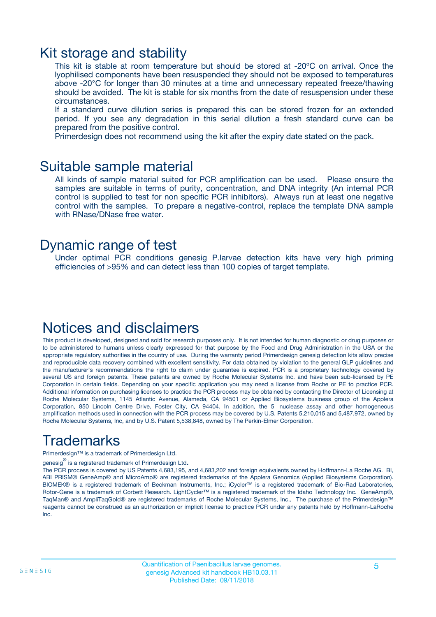### Kit storage and stability

This kit is stable at room temperature but should be stored at -20ºC on arrival. Once the lyophilised components have been resuspended they should not be exposed to temperatures above -20°C for longer than 30 minutes at a time and unnecessary repeated freeze/thawing should be avoided. The kit is stable for six months from the date of resuspension under these circumstances.

If a standard curve dilution series is prepared this can be stored frozen for an extended period. If you see any degradation in this serial dilution a fresh standard curve can be prepared from the positive control.

Primerdesign does not recommend using the kit after the expiry date stated on the pack.

### Suitable sample material

All kinds of sample material suited for PCR amplification can be used. Please ensure the samples are suitable in terms of purity, concentration, and DNA integrity (An internal PCR control is supplied to test for non specific PCR inhibitors). Always run at least one negative control with the samples. To prepare a negative-control, replace the template DNA sample with RNase/DNase free water.

### Dynamic range of test

Under optimal PCR conditions genesig P.larvae detection kits have very high priming efficiencies of >95% and can detect less than 100 copies of target template.

### Notices and disclaimers

This product is developed, designed and sold for research purposes only. It is not intended for human diagnostic or drug purposes or to be administered to humans unless clearly expressed for that purpose by the Food and Drug Administration in the USA or the appropriate regulatory authorities in the country of use. During the warranty period Primerdesign genesig detection kits allow precise and reproducible data recovery combined with excellent sensitivity. For data obtained by violation to the general GLP guidelines and the manufacturer's recommendations the right to claim under guarantee is expired. PCR is a proprietary technology covered by several US and foreign patents. These patents are owned by Roche Molecular Systems Inc. and have been sub-licensed by PE Corporation in certain fields. Depending on your specific application you may need a license from Roche or PE to practice PCR. Additional information on purchasing licenses to practice the PCR process may be obtained by contacting the Director of Licensing at Roche Molecular Systems, 1145 Atlantic Avenue, Alameda, CA 94501 or Applied Biosystems business group of the Applera Corporation, 850 Lincoln Centre Drive, Foster City, CA 94404. In addition, the 5' nuclease assay and other homogeneous amplification methods used in connection with the PCR process may be covered by U.S. Patents 5,210,015 and 5,487,972, owned by Roche Molecular Systems, Inc, and by U.S. Patent 5,538,848, owned by The Perkin-Elmer Corporation.

# Trademarks

Primerdesign™ is a trademark of Primerdesign Ltd.

genesig $^\circledR$  is a registered trademark of Primerdesign Ltd.

The PCR process is covered by US Patents 4,683,195, and 4,683,202 and foreign equivalents owned by Hoffmann-La Roche AG. BI, ABI PRISM® GeneAmp® and MicroAmp® are registered trademarks of the Applera Genomics (Applied Biosystems Corporation). BIOMEK® is a registered trademark of Beckman Instruments, Inc.; iCycler™ is a registered trademark of Bio-Rad Laboratories, Rotor-Gene is a trademark of Corbett Research. LightCycler™ is a registered trademark of the Idaho Technology Inc. GeneAmp®, TaqMan® and AmpliTaqGold® are registered trademarks of Roche Molecular Systems, Inc., The purchase of the Primerdesign™ reagents cannot be construed as an authorization or implicit license to practice PCR under any patents held by Hoffmann-LaRoche Inc.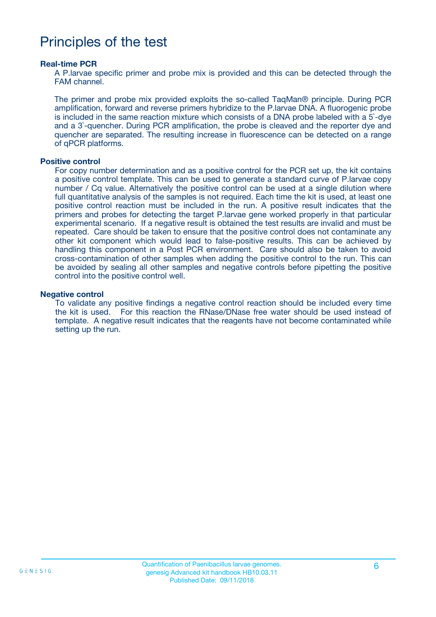## Principles of the test

#### **Real-time PCR**

A P.larvae specific primer and probe mix is provided and this can be detected through the FAM channel.

The primer and probe mix provided exploits the so-called TaqMan® principle. During PCR amplification, forward and reverse primers hybridize to the P.larvae DNA. A fluorogenic probe is included in the same reaction mixture which consists of a DNA probe labeled with a 5`-dye and a 3`-quencher. During PCR amplification, the probe is cleaved and the reporter dye and quencher are separated. The resulting increase in fluorescence can be detected on a range of qPCR platforms.

#### **Positive control**

For copy number determination and as a positive control for the PCR set up, the kit contains a positive control template. This can be used to generate a standard curve of P.larvae copy number / Cq value. Alternatively the positive control can be used at a single dilution where full quantitative analysis of the samples is not required. Each time the kit is used, at least one positive control reaction must be included in the run. A positive result indicates that the primers and probes for detecting the target P.larvae gene worked properly in that particular experimental scenario. If a negative result is obtained the test results are invalid and must be repeated. Care should be taken to ensure that the positive control does not contaminate any other kit component which would lead to false-positive results. This can be achieved by handling this component in a Post PCR environment. Care should also be taken to avoid cross-contamination of other samples when adding the positive control to the run. This can be avoided by sealing all other samples and negative controls before pipetting the positive control into the positive control well.

#### **Negative control**

To validate any positive findings a negative control reaction should be included every time the kit is used. For this reaction the RNase/DNase free water should be used instead of template. A negative result indicates that the reagents have not become contaminated while setting up the run.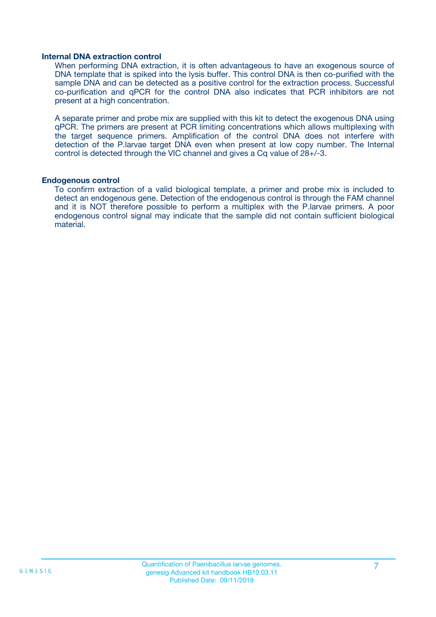#### **Internal DNA extraction control**

When performing DNA extraction, it is often advantageous to have an exogenous source of DNA template that is spiked into the lysis buffer. This control DNA is then co-purified with the sample DNA and can be detected as a positive control for the extraction process. Successful co-purification and qPCR for the control DNA also indicates that PCR inhibitors are not present at a high concentration.

A separate primer and probe mix are supplied with this kit to detect the exogenous DNA using qPCR. The primers are present at PCR limiting concentrations which allows multiplexing with the target sequence primers. Amplification of the control DNA does not interfere with detection of the P.larvae target DNA even when present at low copy number. The Internal control is detected through the VIC channel and gives a Cq value of 28+/-3.

#### **Endogenous control**

To confirm extraction of a valid biological template, a primer and probe mix is included to detect an endogenous gene. Detection of the endogenous control is through the FAM channel and it is NOT therefore possible to perform a multiplex with the P.larvae primers. A poor endogenous control signal may indicate that the sample did not contain sufficient biological material.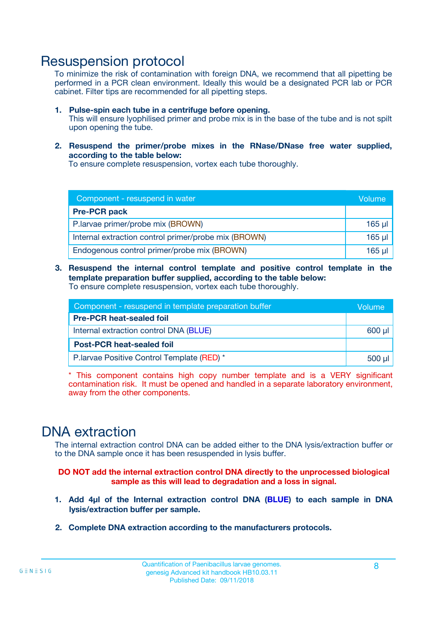### Resuspension protocol

To minimize the risk of contamination with foreign DNA, we recommend that all pipetting be performed in a PCR clean environment. Ideally this would be a designated PCR lab or PCR cabinet. Filter tips are recommended for all pipetting steps.

- **1. Pulse-spin each tube in a centrifuge before opening.** This will ensure lyophilised primer and probe mix is in the base of the tube and is not spilt upon opening the tube.
- **2. Resuspend the primer/probe mixes in the RNase/DNase free water supplied, according to the table below:**

To ensure complete resuspension, vortex each tube thoroughly.

| Component - resuspend in water                       |          |  |
|------------------------------------------------------|----------|--|
| <b>Pre-PCR pack</b>                                  |          |  |
| P.larvae primer/probe mix (BROWN)                    | $165$ µ  |  |
| Internal extraction control primer/probe mix (BROWN) | $165$ µl |  |
| Endogenous control primer/probe mix (BROWN)          | 165 µl   |  |

**3. Resuspend the internal control template and positive control template in the template preparation buffer supplied, according to the table below:** To ensure complete resuspension, vortex each tube thoroughly.

| Component - resuspend in template preparation buffer |  |  |  |
|------------------------------------------------------|--|--|--|
| <b>Pre-PCR heat-sealed foil</b>                      |  |  |  |
| Internal extraction control DNA (BLUE)               |  |  |  |
| <b>Post-PCR heat-sealed foil</b>                     |  |  |  |
| P. larvae Positive Control Template (RED) *          |  |  |  |

\* This component contains high copy number template and is a VERY significant contamination risk. It must be opened and handled in a separate laboratory environment, away from the other components.

### DNA extraction

The internal extraction control DNA can be added either to the DNA lysis/extraction buffer or to the DNA sample once it has been resuspended in lysis buffer.

**DO NOT add the internal extraction control DNA directly to the unprocessed biological sample as this will lead to degradation and a loss in signal.**

- **1. Add 4µl of the Internal extraction control DNA (BLUE) to each sample in DNA lysis/extraction buffer per sample.**
- **2. Complete DNA extraction according to the manufacturers protocols.**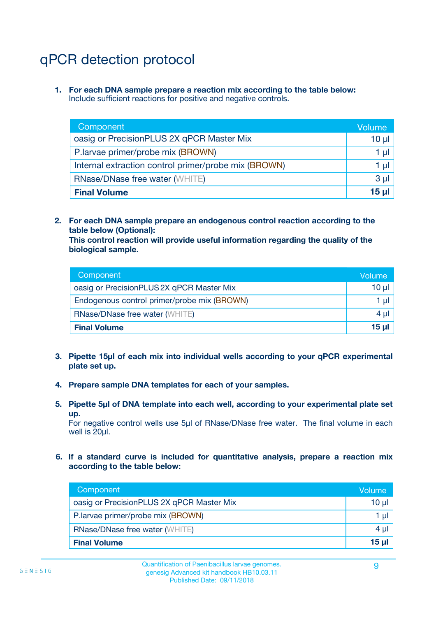# qPCR detection protocol

**1. For each DNA sample prepare a reaction mix according to the table below:** Include sufficient reactions for positive and negative controls.

| Component                                            | Volume   |
|------------------------------------------------------|----------|
| oasig or PrecisionPLUS 2X qPCR Master Mix            | $10 \mu$ |
| P.larvae primer/probe mix (BROWN)                    | 1 µI l   |
| Internal extraction control primer/probe mix (BROWN) | 1 µl     |
| <b>RNase/DNase free water (WHITE)</b>                | $3 \mu$  |
| <b>Final Volume</b>                                  | 15 µl    |

**2. For each DNA sample prepare an endogenous control reaction according to the table below (Optional):**

**This control reaction will provide useful information regarding the quality of the biological sample.**

| Component                                   | Volume   |
|---------------------------------------------|----------|
| oasig or PrecisionPLUS 2X qPCR Master Mix   | $10 \mu$ |
| Endogenous control primer/probe mix (BROWN) | 1 µI     |
| <b>RNase/DNase free water (WHITE)</b>       | $4 \mu$  |
| <b>Final Volume</b>                         | 15 µl    |

- **3. Pipette 15µl of each mix into individual wells according to your qPCR experimental plate set up.**
- **4. Prepare sample DNA templates for each of your samples.**
- **5. Pipette 5µl of DNA template into each well, according to your experimental plate set up.**

For negative control wells use 5µl of RNase/DNase free water. The final volume in each well is 20ul.

**6. If a standard curve is included for quantitative analysis, prepare a reaction mix according to the table below:**

| Component                                 | Volume  |
|-------------------------------------------|---------|
| oasig or PrecisionPLUS 2X qPCR Master Mix | 10 µl   |
| P.larvae primer/probe mix (BROWN)         |         |
| <b>RNase/DNase free water (WHITE)</b>     | $4 \mu$ |
| <b>Final Volume</b>                       | $15$ µ  |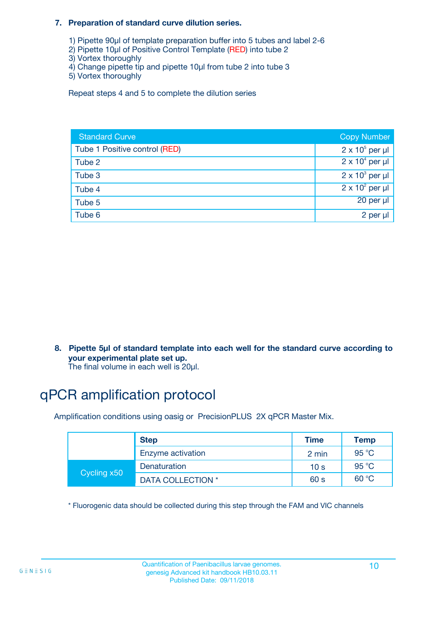#### **7. Preparation of standard curve dilution series.**

- 1) Pipette 90µl of template preparation buffer into 5 tubes and label 2-6
- 2) Pipette 10µl of Positive Control Template (RED) into tube 2
- 3) Vortex thoroughly
- 4) Change pipette tip and pipette 10µl from tube 2 into tube 3
- 5) Vortex thoroughly

Repeat steps 4 and 5 to complete the dilution series

| <b>Standard Curve</b>         | <b>Copy Number</b>     |
|-------------------------------|------------------------|
| Tube 1 Positive control (RED) | $2 \times 10^5$ per µl |
| Tube 2                        | $2 \times 10^4$ per µl |
| Tube 3                        | $2 \times 10^3$ per µl |
| Tube 4                        | $2 \times 10^2$ per µl |
| Tube 5                        | 20 per µl              |
| Tube 6                        | 2 per µl               |

**8. Pipette 5µl of standard template into each well for the standard curve according to your experimental plate set up.**

#### The final volume in each well is 20µl.

# qPCR amplification protocol

Amplification conditions using oasig or PrecisionPLUS 2X qPCR Master Mix.

|             | <b>Step</b>       | <b>Time</b>     | Temp    |
|-------------|-------------------|-----------------|---------|
|             | Enzyme activation | 2 min           | 95 °C   |
| Cycling x50 | Denaturation      | 10 <sub>s</sub> | 95 $°C$ |
|             | DATA COLLECTION * | 60 s            | 60 °C   |

\* Fluorogenic data should be collected during this step through the FAM and VIC channels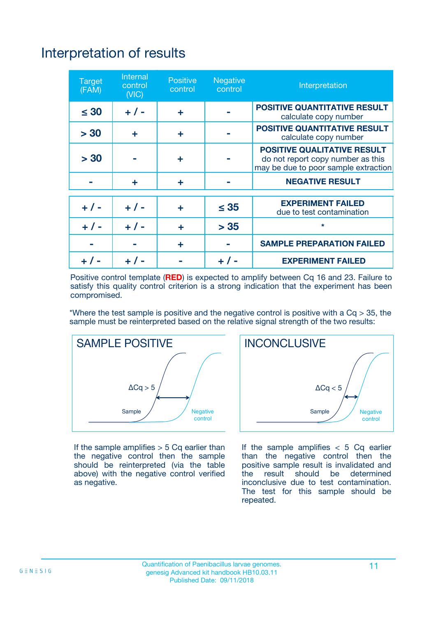# Interpretation of results

| <b>Target</b><br>(FAM) | <b>Internal</b><br>control<br>(NIC) | <b>Positive</b><br>control | <b>Negative</b><br>control | Interpretation                                                                                                  |
|------------------------|-------------------------------------|----------------------------|----------------------------|-----------------------------------------------------------------------------------------------------------------|
| $\leq 30$              | $+ 1 -$                             | ÷                          |                            | <b>POSITIVE QUANTITATIVE RESULT</b><br>calculate copy number                                                    |
| > 30                   | ٠                                   | ÷                          |                            | <b>POSITIVE QUANTITATIVE RESULT</b><br>calculate copy number                                                    |
| > 30                   |                                     | ÷                          |                            | <b>POSITIVE QUALITATIVE RESULT</b><br>do not report copy number as this<br>may be due to poor sample extraction |
|                        | ÷                                   | ÷                          |                            | <b>NEGATIVE RESULT</b>                                                                                          |
| $+ 1 -$                | $+ 1 -$                             | ÷                          | $\leq$ 35                  | <b>EXPERIMENT FAILED</b><br>due to test contamination                                                           |
| $+$ / -                | $+ 1 -$                             | ÷                          | > 35                       | $\star$                                                                                                         |
|                        |                                     | ÷                          |                            | <b>SAMPLE PREPARATION FAILED</b>                                                                                |
|                        |                                     |                            | $+$ /                      | <b>EXPERIMENT FAILED</b>                                                                                        |

Positive control template (**RED**) is expected to amplify between Cq 16 and 23. Failure to satisfy this quality control criterion is a strong indication that the experiment has been compromised.

\*Where the test sample is positive and the negative control is positive with a  $Ca > 35$ , the sample must be reinterpreted based on the relative signal strength of the two results:



If the sample amplifies  $> 5$  Cq earlier than the negative control then the sample should be reinterpreted (via the table above) with the negative control verified as negative.



If the sample amplifies  $< 5$  Cq earlier than the negative control then the positive sample result is invalidated and<br>the result should be determined  $the$  result should be inconclusive due to test contamination. The test for this sample should be repeated.